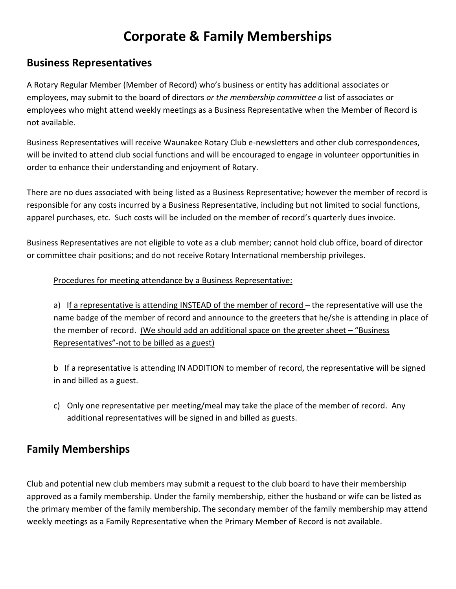# **Corporate & Family Memberships**

## **Business Representatives**

A Rotary Regular Member (Member of Record) who's business or entity has additional associates or employees, may submit to the board of directors *or the membership committee a* list of associates or employees who might attend weekly meetings as a Business Representative when the Member of Record is not available.

Business Representatives will receive Waunakee Rotary Club e-newsletters and other club correspondences, will be invited to attend club social functions and will be encouraged to engage in volunteer opportunities in order to enhance their understanding and enjoyment of Rotary.

There are no dues associated with being listed as a Business Representative*;* however the member of record is responsible for any costs incurred by a Business Representative, including but not limited to social functions, apparel purchases, etc. Such costs will be included on the member of record's quarterly dues invoice.

Business Representatives are not eligible to vote as a club member; cannot hold club office, board of director or committee chair positions; and do not receive Rotary International membership privileges.

#### Procedures for meeting attendance by a Business Representative:

a) If a representative is attending INSTEAD of the member of record – the representative will use the name badge of the member of record and announce to the greeters that he/she is attending in place of the member of record. (We should add an additional space on the greeter sheet – "Business Representatives"-not to be billed as a guest)

b If a representative is attending IN ADDITION to member of record, the representative will be signed in and billed as a guest.

c) Only one representative per meeting/meal may take the place of the member of record. Any additional representatives will be signed in and billed as guests.

## **Family Memberships**

Club and potential new club members may submit a request to the club board to have their membership approved as a family membership. Under the family membership, either the husband or wife can be listed as the primary member of the family membership. The secondary member of the family membership may attend weekly meetings as a Family Representative when the Primary Member of Record is not available.